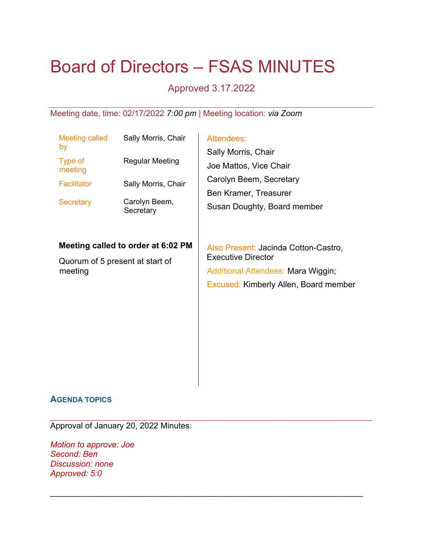# Board of Directors – FSAS MINUTES

# Approved 3.17.2022

Meeting date, time: 02/17/2022 *7:00 pm* | Meeting location: *via Zoom*

| <b>Meeting called</b><br>by                                                      | Sally Morris, Chair        | Attendees:<br>Sally Morris, Chair<br>Joe Mattos, Vice Chair<br>Carolyn Beem, Secretary<br>Ben Kramer, Treasurer<br>Susan Doughty, Board member   |
|----------------------------------------------------------------------------------|----------------------------|--------------------------------------------------------------------------------------------------------------------------------------------------|
| Type of<br>meeting                                                               | Regular Meeting            |                                                                                                                                                  |
| <b>Facilitator</b>                                                               | Sally Morris, Chair        |                                                                                                                                                  |
| <b>Secretary</b>                                                                 | Carolyn Beem,<br>Secretary |                                                                                                                                                  |
| Meeting called to order at 6:02 PM<br>Quorum of 5 present at start of<br>meeting |                            | Also Present: Jacinda Cotton-Castro,<br><b>Executive Director</b><br>Additional Attendees: Mara Wiggin;<br>Excused: Kimberly Allen, Board member |

\_\_\_\_\_\_\_\_\_\_\_\_\_\_\_\_\_\_\_\_\_\_\_\_\_\_\_\_\_\_\_\_\_\_\_\_\_\_\_\_\_\_\_\_\_\_\_\_\_\_\_\_\_\_\_\_\_\_\_\_\_\_\_\_\_\_\_\_\_\_\_\_\_\_\_\_\_\_\_\_

 $\_$  , and the contribution of the contribution of  $\mathcal{L}_1$  , and  $\mathcal{L}_2$  , and  $\mathcal{L}_3$  , and  $\mathcal{L}_4$  , and  $\mathcal{L}_5$  , and  $\mathcal{L}_6$  , and  $\mathcal{L}_7$  , and  $\mathcal{L}_8$  , and  $\mathcal{L}_7$  , and  $\mathcal{L}_8$  , and  $\mathcal{L}_9$  ,

# **AGENDA TOPICS**

Approval of January 20, 2022 Minutes:

*Motion to approve: Joe Second: Ben Discussion: none Approved: 5:0*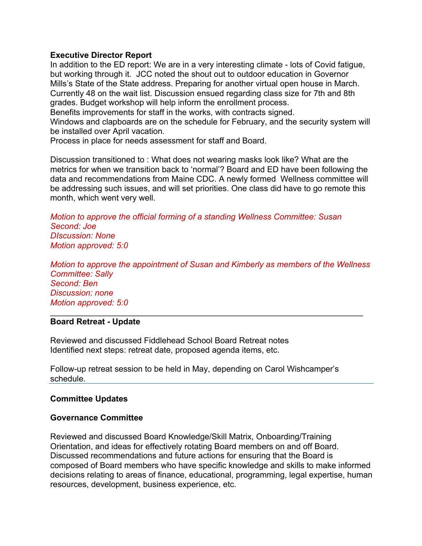# **Executive Director Report**

In addition to the ED report: We are in a very interesting climate - lots of Covid fatigue, but working through it. JCC noted the shout out to outdoor education in Governor Mills's State of the State address. Preparing for another virtual open house in March. Currently 48 on the wait list. Discussion ensued regarding class size for 7th and 8th grades. Budget workshop will help inform the enrollment process.

Benefits improvements for staff in the works, with contracts signed.

Windows and clapboards are on the schedule for February, and the security system will be installed over April vacation.

Process in place for needs assessment for staff and Board.

Discussion transitioned to : What does not wearing masks look like? What are the metrics for when we transition back to 'normal'? Board and ED have been following the data and recommendations from Maine CDC. A newly formed Wellness committee will be addressing such issues, and will set priorities. One class did have to go remote this month, which went very well.

*Motion to approve the official forming of a standing Wellness Committee: Susan Second: Joe DIscussion: None Motion approved: 5:0*

*Motion to approve the appointment of Susan and Kimberly as members of the Wellness Committee: Sally Second: Ben Discussion: none Motion approved: 5:0*

 $\mathcal{L}_\text{max} = \frac{1}{2} \sum_{i=1}^{n} \frac{1}{2} \sum_{i=1}^{n} \frac{1}{2} \sum_{i=1}^{n} \frac{1}{2} \sum_{i=1}^{n} \frac{1}{2} \sum_{i=1}^{n} \frac{1}{2} \sum_{i=1}^{n} \frac{1}{2} \sum_{i=1}^{n} \frac{1}{2} \sum_{i=1}^{n} \frac{1}{2} \sum_{i=1}^{n} \frac{1}{2} \sum_{i=1}^{n} \frac{1}{2} \sum_{i=1}^{n} \frac{1}{2} \sum_{i=1}^{n} \frac{1$ 

#### **Board Retreat - Update**

Reviewed and discussed Fiddlehead School Board Retreat notes Identified next steps: retreat date, proposed agenda items, etc.

Follow-up retreat session to be held in May, depending on Carol Wishcamper's schedule.

# **Committee Updates**

# **Governance Committee**

Reviewed and discussed Board Knowledge/Skill Matrix, Onboarding/Training Orientation, and ideas for effectively rotating Board members on and off Board. Discussed recommendations and future actions for ensuring that the Board is composed of Board members who have specific knowledge and skills to make informed decisions relating to areas of finance, educational, programming, legal expertise, human resources, development, business experience, etc.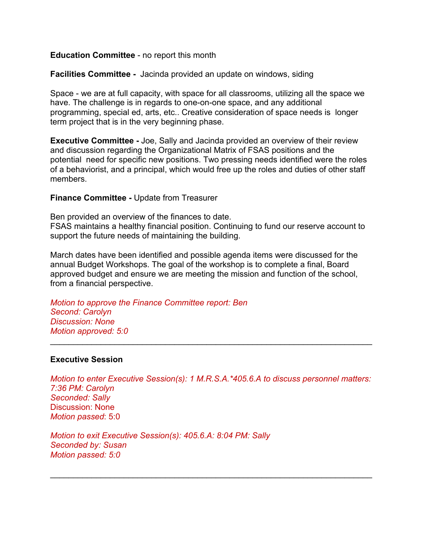#### **Education Committee** - no report this month

**Facilities Committee -** Jacinda provided an update on windows, siding

Space - we are at full capacity, with space for all classrooms, utilizing all the space we have. The challenge is in regards to one-on-one space, and any additional programming, special ed, arts, etc.. Creative consideration of space needs is longer term project that is in the very beginning phase.

**Executive Committee -** Joe, Sally and Jacinda provided an overview of their review and discussion regarding the Organizational Matrix of FSAS positions and the potential need for specific new positions. Two pressing needs identified were the roles of a behaviorist, and a principal, which would free up the roles and duties of other staff members.

#### **Finance Committee -** Update from Treasurer

Ben provided an overview of the finances to date. FSAS maintains a healthy financial position. Continuing to fund our reserve account to support the future needs of maintaining the building.

March dates have been identified and possible agenda items were discussed for the annual Budget Workshops. The goal of the workshop is to complete a final, Board approved budget and ensure we are meeting the mission and function of the school, from a financial perspective.

*Motion to approve the Finance Committee report: Ben Second: Carolyn Discussion: None Motion approved: 5:0*

#### **Executive Session**

*Motion to enter Executive Session(s): 1 M.R.S.A.\*405.6.A to discuss personnel matters: 7:36 PM: Carolyn Seconded: Sally* Discussion: None *Motion passed*: 5:0

 $\mathcal{L}_\text{max} = \mathcal{L}_\text{max} = \mathcal{L}_\text{max} = \mathcal{L}_\text{max} = \mathcal{L}_\text{max} = \mathcal{L}_\text{max} = \mathcal{L}_\text{max} = \mathcal{L}_\text{max} = \mathcal{L}_\text{max} = \mathcal{L}_\text{max} = \mathcal{L}_\text{max} = \mathcal{L}_\text{max} = \mathcal{L}_\text{max} = \mathcal{L}_\text{max} = \mathcal{L}_\text{max} = \mathcal{L}_\text{max} = \mathcal{L}_\text{max} = \mathcal{L}_\text{max} = \mathcal{$ 

 $\mathcal{L}_\text{max} = \mathcal{L}_\text{max} = \mathcal{L}_\text{max} = \mathcal{L}_\text{max} = \mathcal{L}_\text{max} = \mathcal{L}_\text{max} = \mathcal{L}_\text{max} = \mathcal{L}_\text{max} = \mathcal{L}_\text{max} = \mathcal{L}_\text{max} = \mathcal{L}_\text{max} = \mathcal{L}_\text{max} = \mathcal{L}_\text{max} = \mathcal{L}_\text{max} = \mathcal{L}_\text{max} = \mathcal{L}_\text{max} = \mathcal{L}_\text{max} = \mathcal{L}_\text{max} = \mathcal{$ 

*Motion to exit Executive Session(s): 405.6.A: 8:04 PM: Sally Seconded by: Susan Motion passed: 5:0*